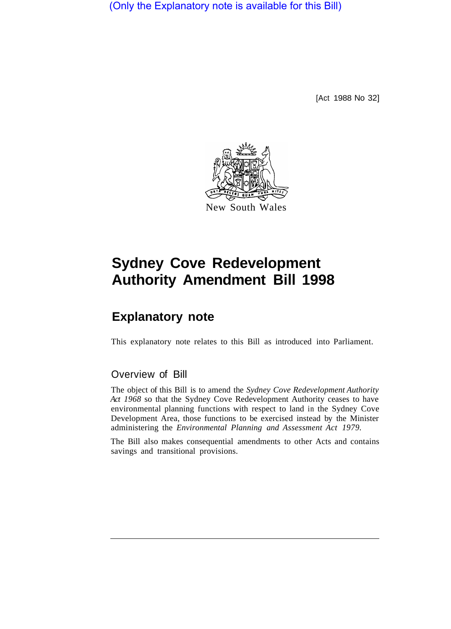(Only the Explanatory note is available for this Bill)

[Act 1988 No 32]



## **Sydney Cove Redevelopment Authority Amendment Bill 1998**

## **Explanatory note**

This explanatory note relates to this Bill as introduced into Parliament.

## Overview of Bill

The object of this Bill is to amend the *Sydney Cove Redevelopment Authority Act 1968* so that the Sydney Cove Redevelopment Authority ceases to have environmental planning functions with respect to land in the Sydney Cove Development Area, those functions to be exercised instead by the Minister administering the *Environmental Planning and Assessment Act 1979.* 

The Bill also makes consequential amendments to other Acts and contains savings and transitional provisions.